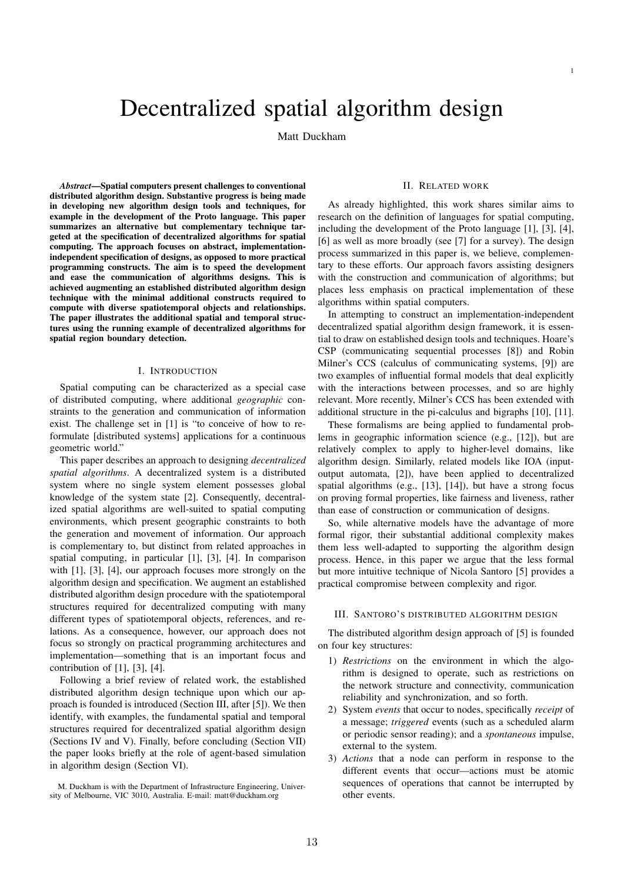# Decentralized spatial algorithm design

Matt Duckham

*Abstract*—Spatial computers present challenges to conventional distributed algorithm design. Substantive progress is being made in developing new algorithm design tools and techniques, for example in the development of the Proto language. This paper summarizes an alternative but complementary technique targeted at the specification of decentralized algorithms for spatial computing. The approach focuses on abstract, implementationindependent specification of designs, as opposed to more practical programming constructs. The aim is to speed the development and ease the communication of algorithms designs. This is achieved augmenting an established distributed algorithm design technique with the minimal additional constructs required to compute with diverse spatiotemporal objects and relationships. The paper illustrates the additional spatial and temporal structures using the running example of decentralized algorithms for spatial region boundary detection.

## I. INTRODUCTION

Spatial computing can be characterized as a special case of distributed computing, where additional *geographic* constraints to the generation and communication of information exist. The challenge set in [1] is "to conceive of how to reformulate [distributed systems] applications for a continuous geometric world."

This paper describes an approach to designing *decentralized spatial algorithms*. A decentralized system is a distributed system where no single system element possesses global knowledge of the system state [2]. Consequently, decentralized spatial algorithms are well-suited to spatial computing environments, which present geographic constraints to both the generation and movement of information. Our approach is complementary to, but distinct from related approaches in spatial computing, in particular [1], [3], [4]. In comparison with [1], [3], [4], our approach focuses more strongly on the algorithm design and specification. We augment an established distributed algorithm design procedure with the spatiotemporal structures required for decentralized computing with many different types of spatiotemporal objects, references, and relations. As a consequence, however, our approach does not focus so strongly on practical programming architectures and implementation—something that is an important focus and contribution of  $[1]$ ,  $[3]$ ,  $[4]$ .

Following a brief review of related work, the established distributed algorithm design technique upon which our approach is founded is introduced (Section III, after [5]). We then identify, with examples, the fundamental spatial and temporal structures required for decentralized spatial algorithm design (Sections IV and V). Finally, before concluding (Section VII) the paper looks briefly at the role of agent-based simulation in algorithm design (Section VI).

M. Duckham is with the Department of Infrastructure Engineering, University of Melbourne, VIC 3010, Australia. E-mail: matt@duckham.org

### II. RELATED WORK

1

As already highlighted, this work shares similar aims to research on the definition of languages for spatial computing, including the development of the Proto language [1], [3], [4], [6] as well as more broadly (see [7] for a survey). The design process summarized in this paper is, we believe, complementary to these efforts. Our approach favors assisting designers with the construction and communication of algorithms; but places less emphasis on practical implementation of these algorithms within spatial computers.

In attempting to construct an implementation-independent decentralized spatial algorithm design framework, it is essential to draw on established design tools and techniques. Hoare's CSP (communicating sequential processes [8]) and Robin Milner's CCS (calculus of communicating systems, [9]) are two examples of influential formal models that deal explicitly with the interactions between processes, and so are highly relevant. More recently, Milner's CCS has been extended with additional structure in the pi-calculus and bigraphs [10], [11].

These formalisms are being applied to fundamental problems in geographic information science (e.g., [12]), but are relatively complex to apply to higher-level domains, like algorithm design. Similarly, related models like IOA (inputoutput automata, [2]), have been applied to decentralized spatial algorithms (e.g., [13], [14]), but have a strong focus on proving formal properties, like fairness and liveness, rather than ease of construction or communication of designs.

So, while alternative models have the advantage of more formal rigor, their substantial additional complexity makes them less well-adapted to supporting the algorithm design process. Hence, in this paper we argue that the less formal but more intuitive technique of Nicola Santoro [5] provides a practical compromise between complexity and rigor.

## III. SANTORO'S DISTRIBUTED ALGORITHM DESIGN

The distributed algorithm design approach of [5] is founded on four key structures:

- 1) *Restrictions* on the environment in which the algorithm is designed to operate, such as restrictions on the network structure and connectivity, communication reliability and synchronization, and so forth.
- 2) System *events* that occur to nodes, specifically *receipt* of a message; *triggered* events (such as a scheduled alarm or periodic sensor reading); and a *spontaneous* impulse, external to the system.
- 3) *Actions* that a node can perform in response to the different events that occur—actions must be atomic sequences of operations that cannot be interrupted by other events.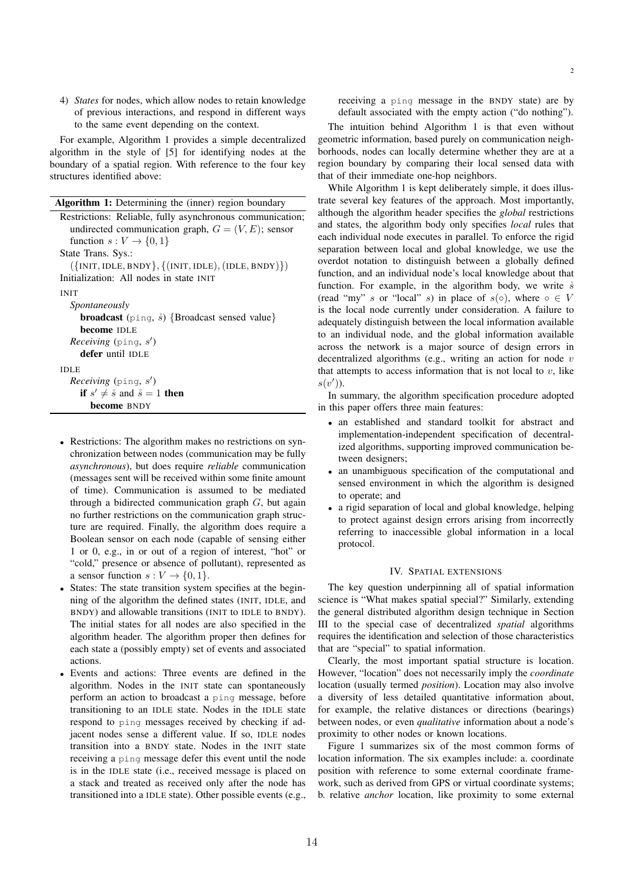4) *States* for nodes, which allow nodes to retain knowledge of previous interactions, and respond in different ways to the same event depending on the context.

For example, Algorithm 1 provides a simple decentralized algorithm in the style of [5] for identifying nodes at the boundary of a spatial region. With reference to the four key structures identified above:

| Algorithm 1: Determining the (inner) region boundary         |
|--------------------------------------------------------------|
| Restrictions: Reliable, fully asynchronous communication;    |
| undirected communication graph, $G = (V, E)$ ; sensor        |
| function $s: V \to \{0, 1\}$                                 |
| State Trans. Sys.:                                           |
| $({\{INIT, IDLE, BNDY\}, {(\{INIT, IDLE), (IDLE, BNDY)\}}})$ |
| Initialization: All nodes in state INIT                      |
| <b>INIT</b>                                                  |
| Spontaneously                                                |
| <b>broadcast</b> (ping, $\hat{s}$ ) {Broadcast sensed value} |
| <b>become</b> IDLE                                           |
| <i>Receiving</i> (ping, $s'$ )                               |
| defer until IDLE                                             |
| <b>IDLE</b>                                                  |
| <i>Receiving</i> ( $\pi$ , s')                               |
| if $s' \neq \hat{s}$ and $\hat{s} = 1$ then                  |
| become BNDY                                                  |
|                                                              |

- *•* Restrictions: The algorithm makes no restrictions on synchronization between nodes (communication may be fully *asynchronous*), but does require *reliable* communication (messages sent will be received within some finite amount of time). Communication is assumed to be mediated through a bidirected communication graph *G*, but again no further restrictions on the communication graph structure are required. Finally, the algorithm does require a Boolean sensor on each node (capable of sensing either 1 or 0, e.g., in or out of a region of interest, "hot" or "cold," presence or absence of pollutant), represented as a sensor function  $s: V \to \{0, 1\}.$
- States: The state transition system specifies at the beginning of the algorithm the defined states (INIT, IDLE, and BNDY) and allowable transitions (INIT to IDLE to BNDY). The initial states for all nodes are also specified in the algorithm header. The algorithm proper then defines for each state a (possibly empty) set of events and associated actions.
- *•* Events and actions: Three events are defined in the algorithm. Nodes in the INIT state can spontaneously perform an action to broadcast a ping message, before transitioning to an IDLE state. Nodes in the IDLE state respond to ping messages received by checking if adjacent nodes sense a different value. If so, IDLE nodes transition into a BNDY state. Nodes in the INIT state receiving a ping message defer this event until the node is in the IDLE state (i.e., received message is placed on a stack and treated as received only after the node has transitioned into a IDLE state). Other possible events (e.g.,

receiving a ping message in the BNDY state) are by default associated with the empty action ("do nothing").

The intuition behind Algorithm 1 is that even without geometric information, based purely on communication neighborhoods, nodes can locally determine whether they are at a region boundary by comparing their local sensed data with that of their immediate one-hop neighbors.

While Algorithm 1 is kept deliberately simple, it does illustrate several key features of the approach. Most importantly, although the algorithm header specifies the *global* restrictions and states, the algorithm body only specifies *local* rules that each individual node executes in parallel. To enforce the rigid separation between local and global knowledge, we use the overdot notation to distinguish between a globally defined function, and an individual node's local knowledge about that function. For example, in the algorithm body, we write  $\dot{s}$ (read "my" *s* or "local" *s*) in place of  $s(0)$ , where  $0 \in V$ is the local node currently under consideration. A failure to adequately distinguish between the local information available to an individual node, and the global information available across the network is a major source of design errors in decentralized algorithms (e.g., writing an action for node *v* that attempts to access information that is not local to  $v$ , like *s*(*v*! )).

In summary, the algorithm specification procedure adopted in this paper offers three main features:

- *•* an established and standard toolkit for abstract and implementation-independent specification of decentralized algorithms, supporting improved communication between designers;
- *•* an unambiguous specification of the computational and sensed environment in which the algorithm is designed to operate; and
- a rigid separation of local and global knowledge, helping to protect against design errors arising from incorrectly referring to inaccessible global information in a local protocol.

## IV. SPATIAL EXTENSIONS

The key question underpinning all of spatial information science is "What makes spatial special?" Similarly, extending the general distributed algorithm design technique in Section III to the special case of decentralized *spatial* algorithms requires the identification and selection of those characteristics that are "special" to spatial information.

Clearly, the most important spatial structure is location. However, "location" does not necessarily imply the *coordinate* location (usually termed *position*). Location may also involve a diversity of less detailed quantitative information about, for example, the relative distances or directions (bearings) between nodes, or even *qualitative* information about a node's proximity to other nodes or known locations.

Figure 1 summarizes six of the most common forms of location information. The six examples include: a. coordinate position with reference to some external coordinate framework, such as derived from GPS or virtual coordinate systems; b. relative *anchor* location, like proximity to some external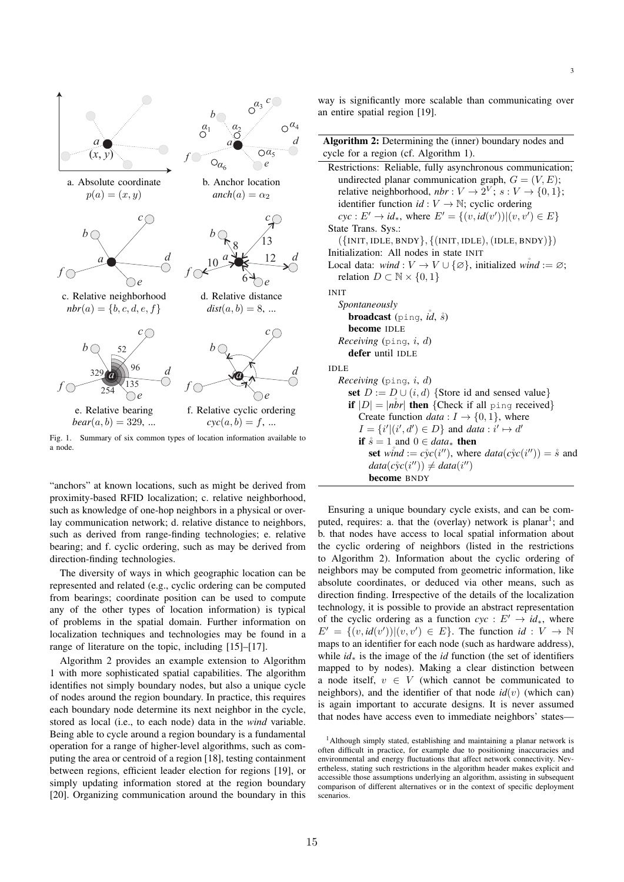

Fig. 1. Summary of six common types of location information available to a node.

"anchors" at known locations, such as might be derived from proximity-based RFID localization; c. relative neighborhood, such as knowledge of one-hop neighbors in a physical or overlay communication network; d. relative distance to neighbors, such as derived from range-finding technologies; e. relative bearing; and f. cyclic ordering, such as may be derived from direction-finding technologies.

The diversity of ways in which geographic location can be represented and related (e.g., cyclic ordering can be computed from bearings; coordinate position can be used to compute any of the other types of location information) is typical of problems in the spatial domain. Further information on localization techniques and technologies may be found in a range of literature on the topic, including [15]–[17].

Algorithm 2 provides an example extension to Algorithm 1 with more sophisticated spatial capabilities. The algorithm identifies not simply boundary nodes, but also a unique cycle of nodes around the region boundary. In practice, this requires each boundary node determine its next neighbor in the cycle, stored as local (i.e., to each node) data in the *wind* variable. Being able to cycle around a region boundary is a fundamental operation for a range of higher-level algorithms, such as computing the area or centroid of a region [18], testing containment between regions, efficient leader election for regions [19], or simply updating information stored at the region boundary [20]. Organizing communication around the boundary in this

way is significantly more scalable than communicating over an entire spatial region [19].

3

| <b>Algorithm 2:</b> Determining the (inner) boundary nodes and                                   |
|--------------------------------------------------------------------------------------------------|
| cycle for a region (cf. Algorithm 1).                                                            |
| Restrictions: Reliable, fully asynchronous communication;                                        |
| undirected planar communication graph, $G = (V, E)$ ;                                            |
| relative neighborhood, $nbr: V \rightarrow 2^V$ ; $s: V \rightarrow \{0, 1\}$ ;                  |
| identifier function $id: V \to \mathbb{N}$ ; cyclic ordering                                     |
| $cyc : E' \to id_*$ , where $E' = \{(v, id(v')) (v, v') \in E\}$                                 |
| State Trans. Sys.:                                                                               |
| $({\text{INIT},\text{IDLE},\text{BNDY}},({\text{INIT},\text{IDLE}},({\text{IDLE},\text{BNDY}}))$ |
| Initialization: All nodes in state INIT                                                          |
| Local data: wind : $V \to V \cup \{\emptyset\}$ , initialized wind := $\emptyset$ ;              |
| relation $D \subset \mathbb{N} \times \{0,1\}$                                                   |
| <b>INIT</b>                                                                                      |
| Spontaneously                                                                                    |
| <b>broadcast</b> (ping, $id$ , $\hat{s}$ )                                                       |
| become IDLE                                                                                      |
| <i>Receiving</i> (ping, <i>i</i> , <i>d</i> )                                                    |
| defer until IDLE                                                                                 |
| <b>IDLE</b>                                                                                      |
| <i>Receiving</i> (ping, <i>i</i> , <i>d</i> )                                                    |
| set $D := D \cup (i, d)$ {Store id and sensed value}                                             |
| if $ D  =  nbr $ then {Check if all ping received}                                               |
| Create function <i>data</i> : $I \rightarrow \{0, 1\}$ , where                                   |
| $I = \{i'   (i', d') \in D\}$ and data : $i' \mapsto d'$                                         |
| if $\dot{s} = 1$ and $0 \in data_*$ then                                                         |
| set wind := $c\dot{y}c(i'')$ , where $data(c\dot{y}c(i'')) = \dot{s}$ and                        |
| $data(c\dot{y}c(i'')) \neq data(i'')$                                                            |
| become BNDY                                                                                      |

Ensuring a unique boundary cycle exists, and can be computed, requires: a. that the (overlay) network is planar<sup>1</sup>; and b. that nodes have access to local spatial information about the cyclic ordering of neighbors (listed in the restrictions to Algorithm 2). Information about the cyclic ordering of neighbors may be computed from geometric information, like absolute coordinates, or deduced via other means, such as direction finding. Irrespective of the details of the localization technology, it is possible to provide an abstract representation of the cyclic ordering as a function  $cyc : E' \rightarrow id_*$ , where  $E' = \{(v, id(v')) | (v, v') \in E\}$ . The function  $id : V \to \mathbb{N}$ maps to an identifier for each node (such as hardware address), while *id*<sup>∗</sup> is the image of the *id* function (the set of identifiers mapped to by nodes). Making a clear distinction between a node itself,  $v \in V$  (which cannot be communicated to neighbors), and the identifier of that node  $id(v)$  (which can) is again important to accurate designs. It is never assumed that nodes have access even to immediate neighbors' states—

<sup>&</sup>lt;sup>1</sup>Although simply stated, establishing and maintaining a planar network is often difficult in practice, for example due to positioning inaccuracies and environmental and energy fluctuations that affect network connectivity. Nevertheless, stating such restrictions in the algorithm header makes explicit and accessible those assumptions underlying an algorithm, assisting in subsequent comparison of different alternatives or in the context of specific deployment scenarios.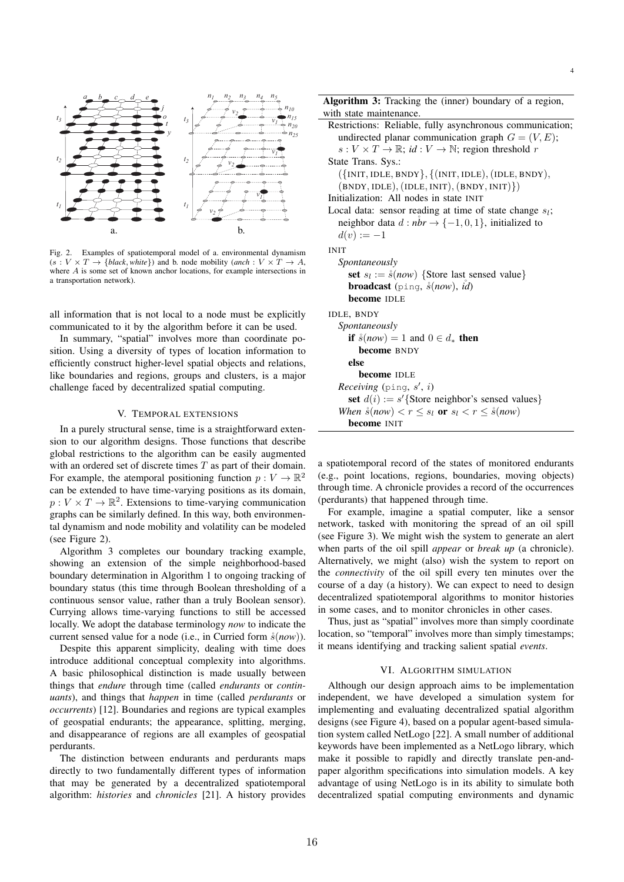

Fig. 2. Examples of spatiotemporal model of a. environmental dynamism  $(s: V \times T \rightarrow \{black, white\})$  and b. node mobility (*anch* :  $V \times T \rightarrow A$ , where *A* is some set of known anchor locations, for example intersections in a transportation network).

all information that is not local to a node must be explicitly communicated to it by the algorithm before it can be used.

In summary, "spatial" involves more than coordinate position. Using a diversity of types of location information to efficiently construct higher-level spatial objects and relations, like boundaries and regions, groups and clusters, is a major challenge faced by decentralized spatial computing.

## V. TEMPORAL EXTENSIONS

In a purely structural sense, time is a straightforward extension to our algorithm designs. Those functions that describe global restrictions to the algorithm can be easily augmented with an ordered set of discrete times *T* as part of their domain. For example, the atemporal positioning function  $p: V \to \mathbb{R}^2$ can be extended to have time-varying positions as its domain,  $p: V \times T \to \mathbb{R}^2$ . Extensions to time-varying communication graphs can be similarly defined. In this way, both environmental dynamism and node mobility and volatility can be modeled (see Figure 2).

Algorithm 3 completes our boundary tracking example, showing an extension of the simple neighborhood-based boundary determination in Algorithm 1 to ongoing tracking of boundary status (this time through Boolean thresholding of a continuous sensor value, rather than a truly Boolean sensor). Currying allows time-varying functions to still be accessed locally. We adopt the database terminology *now* to indicate the current sensed value for a node (i.e., in Curried form ˚*s*(*now*)).

Despite this apparent simplicity, dealing with time does introduce additional conceptual complexity into algorithms. A basic philosophical distinction is made usually between things that *endure* through time (called *endurants* or *continuants*), and things that *happen* in time (called *perdurants* or *occurrents*) [12]. Boundaries and regions are typical examples of geospatial endurants; the appearance, splitting, merging, and disappearance of regions are all examples of geospatial perdurants.

The distinction between endurants and perdurants maps directly to two fundamentally different types of information that may be generated by a decentralized spatiotemporal algorithm: *histories* and *chronicles* [21]. A history provides

| Algorithm 3: Tracking the (inner) boundary of a region,                                               |
|-------------------------------------------------------------------------------------------------------|
| with state maintenance.                                                                               |
| Restrictions: Reliable, fully asynchronous communication;                                             |
| undirected planar communication graph $G = (V, E)$ ;                                                  |
| $s: V \times T \to \mathbb{R}$ ; id: $V \to \mathbb{N}$ ; region threshold r                          |
| State Trans. Sys.:                                                                                    |
| $({\text{INIT}, \text{IDLE}, \text{BNDY}}, {(\text{INIT}, \text{IDLE}), (\text{IDLE}, \text{BNDY})},$ |
| $(BNDY, IDLE), (IDLE, INIT), (BNDY, INIT))$                                                           |
| Initialization: All nodes in state INIT                                                               |
| Local data: sensor reading at time of state change $s_l$ ;                                            |
| neighbor data $d : nbr \rightarrow \{-1, 0, 1\}$ , initialized to                                     |
| $d(v) := -1$                                                                                          |
| <b>INIT</b>                                                                                           |
| Spontaneously                                                                                         |
| set $s_l := \hat{s}(now)$ {Store last sensed value}                                                   |
| <b>broadcast</b> (ping, $\dot{s}(now)$ , <i>id</i> )                                                  |
| <b>become</b> IDLE                                                                                    |
| IDLE, BNDY                                                                                            |
| Spontaneously                                                                                         |
| if $\hat{s}(now) = 1$ and $0 \in d_*$ then                                                            |
| become BNDY                                                                                           |
| else                                                                                                  |
| become IDLE                                                                                           |
| <i>Receiving</i> (ping, $s'$ , <i>i</i> )                                                             |
| set $d(i) := s'$ {Store neighbor's sensed values}                                                     |
| When $\hat{s}(now) < r \leq s_l$ or $s_l < r \leq \hat{s}(now)$                                       |
| <b>become</b> INIT                                                                                    |
|                                                                                                       |

a spatiotemporal record of the states of monitored endurants (e.g., point locations, regions, boundaries, moving objects) through time. A chronicle provides a record of the occurrences (perdurants) that happened through time.

For example, imagine a spatial computer, like a sensor network, tasked with monitoring the spread of an oil spill (see Figure 3). We might wish the system to generate an alert when parts of the oil spill *appear* or *break up* (a chronicle). Alternatively, we might (also) wish the system to report on the *connectivity* of the oil spill every ten minutes over the course of a day (a history). We can expect to need to design decentralized spatiotemporal algorithms to monitor histories in some cases, and to monitor chronicles in other cases.

Thus, just as "spatial" involves more than simply coordinate location, so "temporal" involves more than simply timestamps; it means identifying and tracking salient spatial *events*.

### VI. ALGORITHM SIMULATION

Although our design approach aims to be implementation independent, we have developed a simulation system for implementing and evaluating decentralized spatial algorithm designs (see Figure 4), based on a popular agent-based simulation system called NetLogo [22]. A small number of additional keywords have been implemented as a NetLogo library, which make it possible to rapidly and directly translate pen-andpaper algorithm specifications into simulation models. A key advantage of using NetLogo is in its ability to simulate both decentralized spatial computing environments and dynamic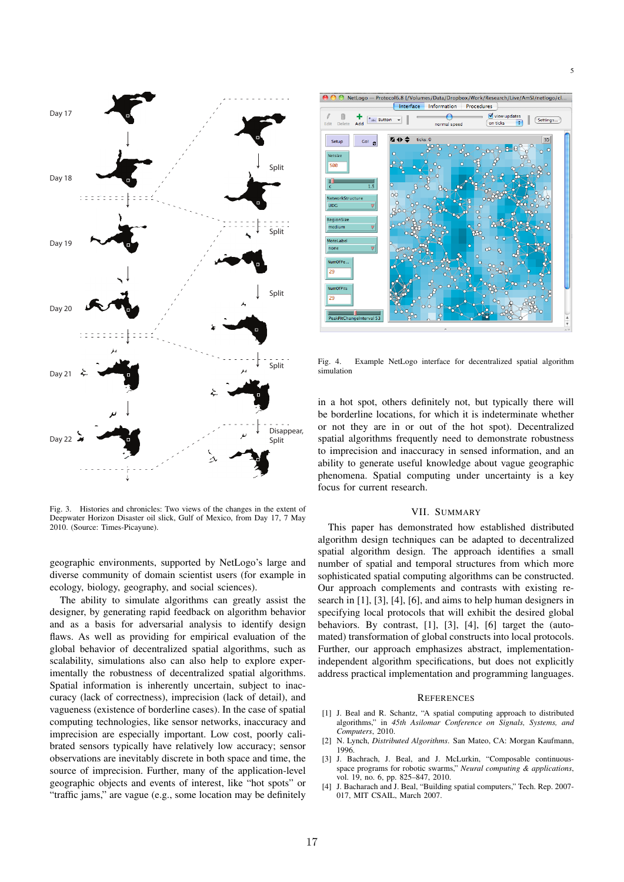

Fig. 3. Histories and chronicles: Two views of the changes in the extent of Deepwater Horizon Disaster oil slick, Gulf of Mexico, from Day 17, 7 May 2010. (Source: Times-Picayune).

geographic environments, supported by NetLogo's large and diverse community of domain scientist users (for example in ecology, biology, geography, and social sciences).

The ability to simulate algorithms can greatly assist the designer, by generating rapid feedback on algorithm behavior and as a basis for adversarial analysis to identify design flaws. As well as providing for empirical evaluation of the global behavior of decentralized spatial algorithms, such as scalability, simulations also can also help to explore experimentally the robustness of decentralized spatial algorithms. Spatial information is inherently uncertain, subject to inaccuracy (lack of correctness), imprecision (lack of detail), and vagueness (existence of borderline cases). In the case of spatial computing technologies, like sensor networks, inaccuracy and imprecision are especially important. Low cost, poorly calibrated sensors typically have relatively low accuracy; sensor observations are inevitably discrete in both space and time, the source of imprecision. Further, many of the application-level geographic objects and events of interest, like "hot spots" or "traffic jams," are vague (e.g., some location may be definitely



Fig. 4. Fig. 4. Example NetLogo interface for decentralized spatial algorithm +("\$##.0'"\$+"5'/.#\$21'"*!"#\$%"*"/7/+'3"2',\$0.(#"+,#(\*&,"+,'"/4'-.).-\$+.(%"()"*"#&%"'* simulation

in a hot spot, others definitely not, but typically there will be borderline locations, for which it is indeterminate whether or not they are in or out of the hot spot). Decentralized spatial algorithms frequently need to demonstrate robustness to imprecision and inaccuracy in sensed information, and an ability to generate useful knowledge about vague geographic phenomena. Spatial computing under uncertainty is a key focus for current research.

## VII. SUMMARY

This paper has demonstrated how established distributed algorithm design techniques can be adapted to decentralized spatial algorithm design. The approach identifies a small number of spatial and temporal structures from which more sophisticated spatial computing algorithms can be constructed. Our approach complements and contrasts with existing research in [1], [3], [4], [6], and aims to help human designers in specifying local protocols that will exhibit the desired global behaviors. By contrast, [1], [3], [4], [6] target the (automated) transformation of global constructs into local protocols. Further, our approach emphasizes abstract, implementationindependent algorithm specifications, but does not explicitly address practical implementation and programming languages.

#### **REFERENCES**

- [1] J. Beal and R. Schantz, "A spatial computing approach to distributed algorithms," in *45th Asilomar Conference on Signals, Systems, and Computers*, 2010.
- [2] N. Lynch, *Distributed Algorithms*. San Mateo, CA: Morgan Kaufmann, 1996.
- [3] J. Bachrach, J. Beal, and J. McLurkin, "Composable continuousspace programs for robotic swarms," *Neural computing & applications*, vol. 19, no. 6, pp. 825–847, 2010.
- [4] J. Bacharach and J. Beal, "Building spatial computers," Tech. Rep. 2007- 017, MIT CSAIL, March 2007.